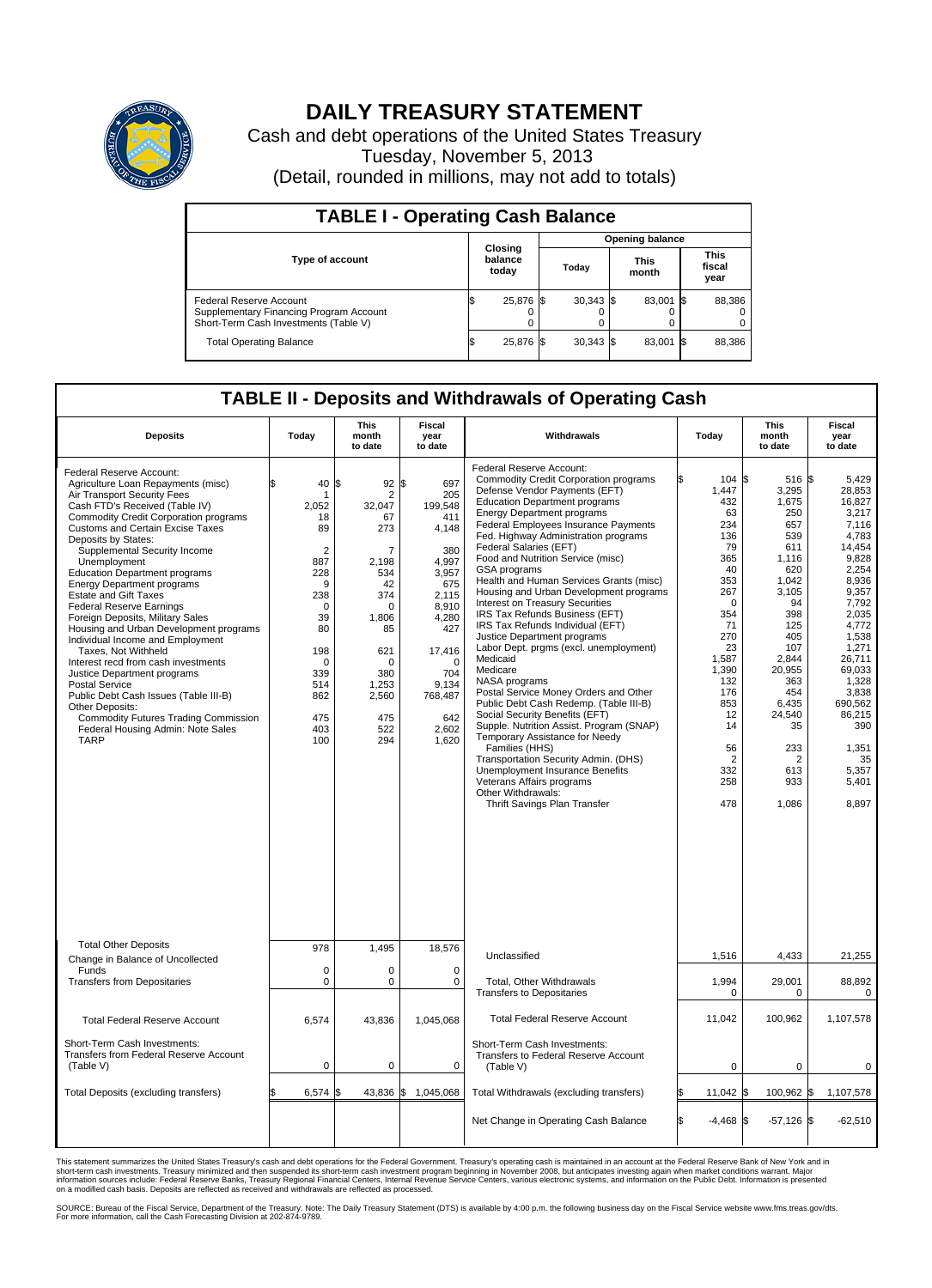

## **DAILY TREASURY STATEMENT**

Cash and debt operations of the United States Treasury Tuesday, November 5, 2013 (Detail, rounded in millions, may not add to totals)

| <b>TABLE I - Operating Cash Balance</b>                                                                     |    |                             |  |             |  |                        |      |                               |  |  |  |
|-------------------------------------------------------------------------------------------------------------|----|-----------------------------|--|-------------|--|------------------------|------|-------------------------------|--|--|--|
|                                                                                                             |    |                             |  |             |  | <b>Opening balance</b> |      |                               |  |  |  |
| <b>Type of account</b>                                                                                      |    | Closing<br>balance<br>today |  | Today       |  | <b>This</b><br>month   |      | <b>This</b><br>fiscal<br>year |  |  |  |
| Federal Reserve Account<br>Supplementary Financing Program Account<br>Short-Term Cash Investments (Table V) |    | 25,876 \$                   |  | $30.343$ \$ |  | 83,001                 | - 15 | 88,386                        |  |  |  |
| <b>Total Operating Balance</b>                                                                              | ıа | 25,876 \$                   |  | $30,343$ \$ |  | 83,001                 | - 15 | 88,386                        |  |  |  |

## **TABLE II - Deposits and Withdrawals of Operating Cash**

| <b>Deposits</b>                                                                                                                                                                                                                                                                                                                                                                                                                                                                                                                                                                                                                                                                                                                                                                                                                     | Today                                                                                                                                                                  | This<br>month<br>to date                                                                                                                                           | Fiscal<br>year<br>to date                                                                                                                                                               | Withdrawals                                                                                                                                                                                                                                                                                                                                                                                                                                                                                                                                                                                                                                                                                                                                                                                                                                                                                                                                                                                                                                                     | Today                                                                                                                                                                                                           | <b>This</b><br>month<br>to date                                                                                                                                                                                                               | Fiscal<br>year<br>to date                                                                                                                                                                                                                                   |
|-------------------------------------------------------------------------------------------------------------------------------------------------------------------------------------------------------------------------------------------------------------------------------------------------------------------------------------------------------------------------------------------------------------------------------------------------------------------------------------------------------------------------------------------------------------------------------------------------------------------------------------------------------------------------------------------------------------------------------------------------------------------------------------------------------------------------------------|------------------------------------------------------------------------------------------------------------------------------------------------------------------------|--------------------------------------------------------------------------------------------------------------------------------------------------------------------|-----------------------------------------------------------------------------------------------------------------------------------------------------------------------------------------|-----------------------------------------------------------------------------------------------------------------------------------------------------------------------------------------------------------------------------------------------------------------------------------------------------------------------------------------------------------------------------------------------------------------------------------------------------------------------------------------------------------------------------------------------------------------------------------------------------------------------------------------------------------------------------------------------------------------------------------------------------------------------------------------------------------------------------------------------------------------------------------------------------------------------------------------------------------------------------------------------------------------------------------------------------------------|-----------------------------------------------------------------------------------------------------------------------------------------------------------------------------------------------------------------|-----------------------------------------------------------------------------------------------------------------------------------------------------------------------------------------------------------------------------------------------|-------------------------------------------------------------------------------------------------------------------------------------------------------------------------------------------------------------------------------------------------------------|
| Federal Reserve Account:<br>Agriculture Loan Repayments (misc)<br>Air Transport Security Fees<br>Cash FTD's Received (Table IV)<br>Commodity Credit Corporation programs<br>Customs and Certain Excise Taxes<br>Deposits by States:<br>Supplemental Security Income<br>Unemployment<br><b>Education Department programs</b><br><b>Energy Department programs</b><br><b>Estate and Gift Taxes</b><br><b>Federal Reserve Earnings</b><br>Foreign Deposits, Military Sales<br>Housing and Urban Development programs<br>Individual Income and Employment<br>Taxes, Not Withheld<br>Interest recd from cash investments<br>Justice Department programs<br><b>Postal Service</b><br>Public Debt Cash Issues (Table III-B)<br>Other Deposits:<br>Commodity Futures Trading Commission<br>Federal Housing Admin: Note Sales<br><b>TARP</b> | 40<br>\$<br>1<br>2,052<br>18<br>89<br>$\overline{2}$<br>887<br>228<br>9<br>238<br>$\mathbf 0$<br>39<br>80<br>198<br>$\Omega$<br>339<br>514<br>862<br>475<br>403<br>100 | 92<br>\$<br>2<br>32,047<br>67<br>273<br>7<br>2,198<br>534<br>42<br>374<br>$\Omega$<br>1,806<br>85<br>621<br>$\Omega$<br>380<br>1,253<br>2,560<br>475<br>522<br>294 | \$<br>697<br>205<br>199,548<br>411<br>4,148<br>380<br>4,997<br>3,957<br>675<br>2.115<br>8,910<br>4,280<br>427<br>17,416<br>$\Omega$<br>704<br>9,134<br>768,487<br>642<br>2,602<br>1,620 | Federal Reserve Account:<br><b>Commodity Credit Corporation programs</b><br>Defense Vendor Payments (EFT)<br><b>Education Department programs</b><br><b>Energy Department programs</b><br><b>Federal Employees Insurance Payments</b><br>Fed. Highway Administration programs<br>Federal Salaries (EFT)<br>Food and Nutrition Service (misc)<br>GSA programs<br>Health and Human Services Grants (misc)<br>Housing and Urban Development programs<br>Interest on Treasury Securities<br>IRS Tax Refunds Business (EFT)<br>IRS Tax Refunds Individual (EFT)<br>Justice Department programs<br>Labor Dept. prgms (excl. unemployment)<br>Medicaid<br>Medicare<br>NASA programs<br>Postal Service Money Orders and Other<br>Public Debt Cash Redemp. (Table III-B)<br>Social Security Benefits (EFT)<br>Supple. Nutrition Assist. Program (SNAP)<br>Temporary Assistance for Needy<br>Families (HHS)<br>Transportation Security Admin. (DHS)<br>Unemployment Insurance Benefits<br>Veterans Affairs programs<br>Other Withdrawals:<br>Thrift Savings Plan Transfer | 104S<br>1,447<br>432<br>63<br>234<br>136<br>79<br>365<br>40<br>353<br>267<br>$\Omega$<br>354<br>71<br>270<br>23<br>1,587<br>1,390<br>132<br>176<br>853<br>12<br>14<br>56<br>$\overline{2}$<br>332<br>258<br>478 | $516$ $\text{\$}$<br>3,295<br>1,675<br>250<br>657<br>539<br>611<br>1,116<br>620<br>1,042<br>3,105<br>94<br>398<br>125<br>405<br>107<br>2,844<br>20,955<br>363<br>454<br>6.435<br>24,540<br>35<br>233<br>$\overline{2}$<br>613<br>933<br>1,086 | 5.429<br>28,853<br>16,827<br>3,217<br>7.116<br>4,783<br>14,454<br>9,828<br>2.254<br>8,936<br>9,357<br>7,792<br>2,035<br>4,772<br>1,538<br>1,271<br>26,711<br>69,033<br>1.328<br>3,838<br>690.562<br>86,215<br>390<br>1,351<br>35<br>5,357<br>5,401<br>8,897 |
| <b>Total Other Deposits</b><br>Change in Balance of Uncollected                                                                                                                                                                                                                                                                                                                                                                                                                                                                                                                                                                                                                                                                                                                                                                     | 978                                                                                                                                                                    | 1,495                                                                                                                                                              | 18,576                                                                                                                                                                                  | Unclassified                                                                                                                                                                                                                                                                                                                                                                                                                                                                                                                                                                                                                                                                                                                                                                                                                                                                                                                                                                                                                                                    | 1,516                                                                                                                                                                                                           | 4,433                                                                                                                                                                                                                                         | 21,255                                                                                                                                                                                                                                                      |
| Funds<br><b>Transfers from Depositaries</b>                                                                                                                                                                                                                                                                                                                                                                                                                                                                                                                                                                                                                                                                                                                                                                                         | $\mathbf 0$<br>$\mathbf 0$                                                                                                                                             | 0<br>0                                                                                                                                                             | 0<br>$\mathbf 0$                                                                                                                                                                        | Total, Other Withdrawals<br>Transfers to Depositaries                                                                                                                                                                                                                                                                                                                                                                                                                                                                                                                                                                                                                                                                                                                                                                                                                                                                                                                                                                                                           | 1,994<br>$\mathbf 0$                                                                                                                                                                                            | 29,001<br>0                                                                                                                                                                                                                                   | 88,892<br>$\mathbf 0$                                                                                                                                                                                                                                       |
| <b>Total Federal Reserve Account</b>                                                                                                                                                                                                                                                                                                                                                                                                                                                                                                                                                                                                                                                                                                                                                                                                | 6,574                                                                                                                                                                  | 43,836                                                                                                                                                             | 1,045,068                                                                                                                                                                               | <b>Total Federal Reserve Account</b>                                                                                                                                                                                                                                                                                                                                                                                                                                                                                                                                                                                                                                                                                                                                                                                                                                                                                                                                                                                                                            | 11,042                                                                                                                                                                                                          | 100,962                                                                                                                                                                                                                                       | 1,107,578                                                                                                                                                                                                                                                   |
| Short-Term Cash Investments:<br>Transfers from Federal Reserve Account<br>(Table V)                                                                                                                                                                                                                                                                                                                                                                                                                                                                                                                                                                                                                                                                                                                                                 | $\pmb{0}$                                                                                                                                                              | 0                                                                                                                                                                  | 0                                                                                                                                                                                       | Short-Term Cash Investments:<br>Transfers to Federal Reserve Account<br>(Table V)                                                                                                                                                                                                                                                                                                                                                                                                                                                                                                                                                                                                                                                                                                                                                                                                                                                                                                                                                                               | $\mathbf 0$                                                                                                                                                                                                     | 0                                                                                                                                                                                                                                             | 0                                                                                                                                                                                                                                                           |
| Total Deposits (excluding transfers)                                                                                                                                                                                                                                                                                                                                                                                                                                                                                                                                                                                                                                                                                                                                                                                                | 6,574                                                                                                                                                                  | \$                                                                                                                                                                 | 43,836 \$1,045,068                                                                                                                                                                      | Total Withdrawals (excluding transfers)                                                                                                                                                                                                                                                                                                                                                                                                                                                                                                                                                                                                                                                                                                                                                                                                                                                                                                                                                                                                                         | 11,042 \$                                                                                                                                                                                                       | 100,962 \$                                                                                                                                                                                                                                    | 1,107,578                                                                                                                                                                                                                                                   |
|                                                                                                                                                                                                                                                                                                                                                                                                                                                                                                                                                                                                                                                                                                                                                                                                                                     |                                                                                                                                                                        |                                                                                                                                                                    |                                                                                                                                                                                         | Net Change in Operating Cash Balance                                                                                                                                                                                                                                                                                                                                                                                                                                                                                                                                                                                                                                                                                                                                                                                                                                                                                                                                                                                                                            | l\$<br>$-4,468$ \$                                                                                                                                                                                              | $-57,126$ \$                                                                                                                                                                                                                                  | $-62,510$                                                                                                                                                                                                                                                   |

This statement summarizes the United States Treasury's cash and debt operations for the Federal Government. Treasury's operating cash is maintained in an account at the Federal Reserve Bank of New York and in<br>informetion c

SOURCE: Bureau of the Fiscal Service, Department of the Treasury. Note: The Daily Treasury Statement (DTS) is available by 4:00 p.m. the following business day on the Fiscal Service website www.fms.treas.gov/dts.<br>For more